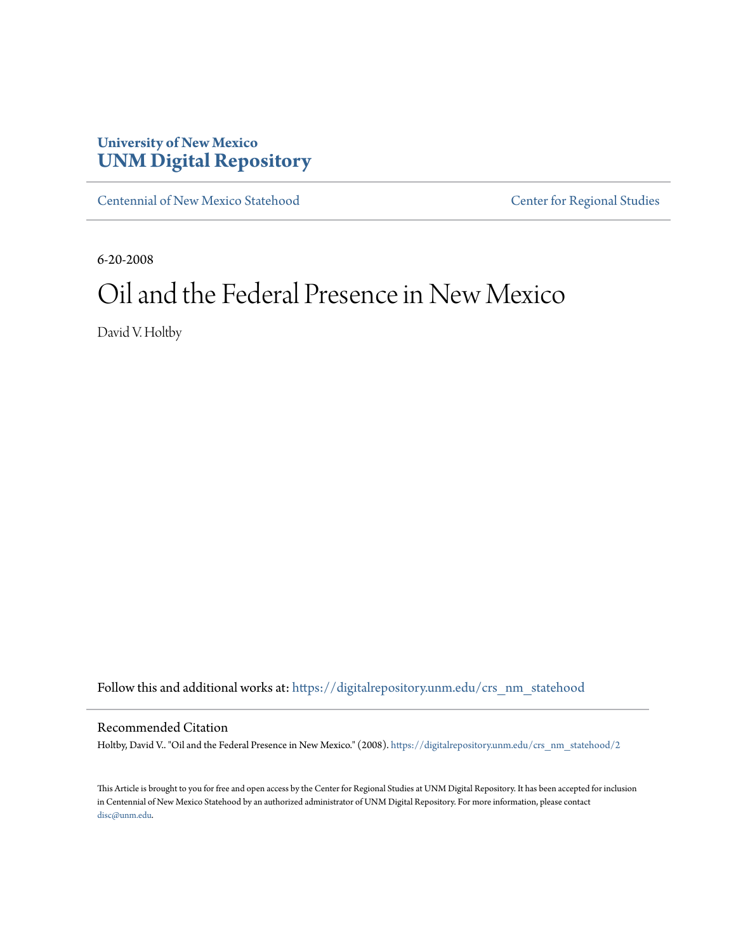# **University of New Mexico [UNM Digital Repository](https://digitalrepository.unm.edu?utm_source=digitalrepository.unm.edu%2Fcrs_nm_statehood%2F2&utm_medium=PDF&utm_campaign=PDFCoverPages)**

[Centennial of New Mexico Statehood](https://digitalrepository.unm.edu/crs_nm_statehood?utm_source=digitalrepository.unm.edu%2Fcrs_nm_statehood%2F2&utm_medium=PDF&utm_campaign=PDFCoverPages) [Center for Regional Studies](https://digitalrepository.unm.edu/crs?utm_source=digitalrepository.unm.edu%2Fcrs_nm_statehood%2F2&utm_medium=PDF&utm_campaign=PDFCoverPages)

6-20-2008

# Oil and the Federal Presence in New Mexico

David V. Holtby

Follow this and additional works at: [https://digitalrepository.unm.edu/crs\\_nm\\_statehood](https://digitalrepository.unm.edu/crs_nm_statehood?utm_source=digitalrepository.unm.edu%2Fcrs_nm_statehood%2F2&utm_medium=PDF&utm_campaign=PDFCoverPages)

Recommended Citation

Holtby, David V.. "Oil and the Federal Presence in New Mexico." (2008). [https://digitalrepository.unm.edu/crs\\_nm\\_statehood/2](https://digitalrepository.unm.edu/crs_nm_statehood/2?utm_source=digitalrepository.unm.edu%2Fcrs_nm_statehood%2F2&utm_medium=PDF&utm_campaign=PDFCoverPages)

This Article is brought to you for free and open access by the Center for Regional Studies at UNM Digital Repository. It has been accepted for inclusion in Centennial of New Mexico Statehood by an authorized administrator of UNM Digital Repository. For more information, please contact [disc@unm.edu](mailto:disc@unm.edu).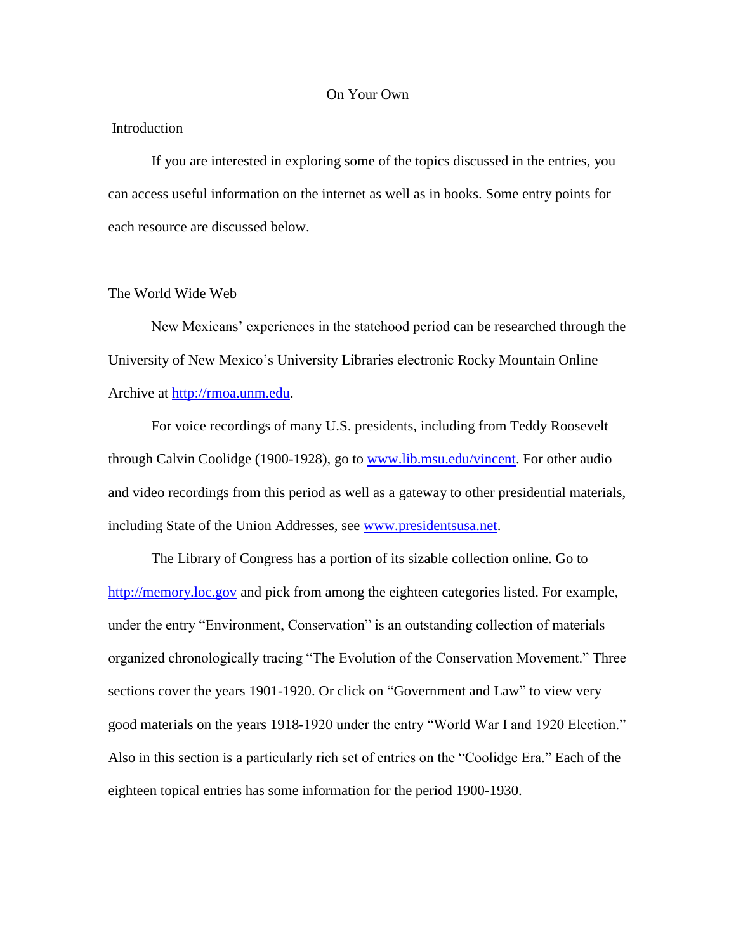#### On Your Own

### **Introduction**

If you are interested in exploring some of the topics discussed in the entries, you can access useful information on the internet as well as in books. Some entry points for each resource are discussed below.

## The World Wide Web

New Mexicans' experiences in the statehood period can be researched through the University of New Mexico's University Libraries electronic Rocky Mountain Online Archive at [http://rmoa.unm.edu.](http://rmoa.unm.edu/)

For voice recordings of many U.S. presidents, including from Teddy Roosevelt through Calvin Coolidge (1900-1928), go to [www.lib.msu.edu/vincent.](http://www.lib.msu.edu/vincent) For other audio and video recordings from this period as well as a gateway to other presidential materials, including State of the Union Addresses, see [www.presidentsusa.net.](http://www.presidentsusa.net/)

The Library of Congress has a portion of its sizable collection online. Go to [http://memory.loc.gov](http://memory.loc.gov/) and pick from among the eighteen categories listed. For example, under the entry "Environment, Conservation" is an outstanding collection of materials organized chronologically tracing "The Evolution of the Conservation Movement." Three sections cover the years 1901-1920. Or click on "Government and Law" to view very good materials on the years 1918-1920 under the entry "World War I and 1920 Election." Also in this section is a particularly rich set of entries on the "Coolidge Era." Each of the eighteen topical entries has some information for the period 1900-1930.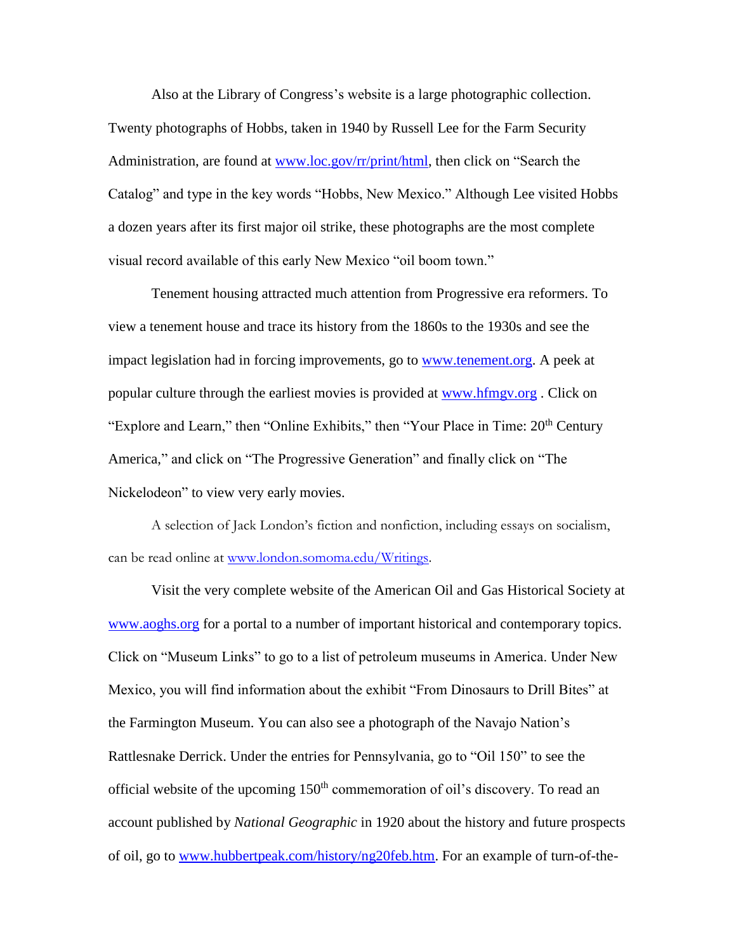Also at the Library of Congress's website is a large photographic collection. Twenty photographs of Hobbs, taken in 1940 by Russell Lee for the Farm Security Administration, are found at [www.loc.gov/rr/print/html,](http://www.loc.gov/rr/print/html) then click on "Search the Catalog" and type in the key words "Hobbs, New Mexico." Although Lee visited Hobbs a dozen years after its first major oil strike, these photographs are the most complete visual record available of this early New Mexico "oil boom town."

Tenement housing attracted much attention from Progressive era reformers. To view a tenement house and trace its history from the 1860s to the 1930s and see the impact legislation had in forcing improvements, go to [www.tenement.org.](http://www.tenement.org/) A peek at popular culture through the earliest movies is provided at [www.hfmgv.org](http://www.hfmgv.org/) . Click on "Explore and Learn," then "Online Exhibits," then "Your Place in Time: 20<sup>th</sup> Century America," and click on "The Progressive Generation" and finally click on "The Nickelodeon" to view very early movies.

A selection of Jack London's fiction and nonfiction, including essays on socialism, can be read online at [www.london.somoma.edu/Writings.](http://www.london.somoma.edu/Writings)

Visit the very complete website of the American Oil and Gas Historical Society at [www.aoghs.org](http://www.aoghs.org/) for a portal to a number of important historical and contemporary topics. Click on "Museum Links" to go to a list of petroleum museums in America. Under New Mexico, you will find information about the exhibit "From Dinosaurs to Drill Bites" at the Farmington Museum. You can also see a photograph of the Navajo Nation's Rattlesnake Derrick. Under the entries for Pennsylvania, go to "Oil 150" to see the official website of the upcoming  $150<sup>th</sup>$  commemoration of oil's discovery. To read an account published by *National Geographic* in 1920 about the history and future prospects of oil, go to [www.hubbertpeak.com/history/ng20feb.htm.](http://www.hubbertpeak.com/history/ng20feb.htm) For an example of turn-of-the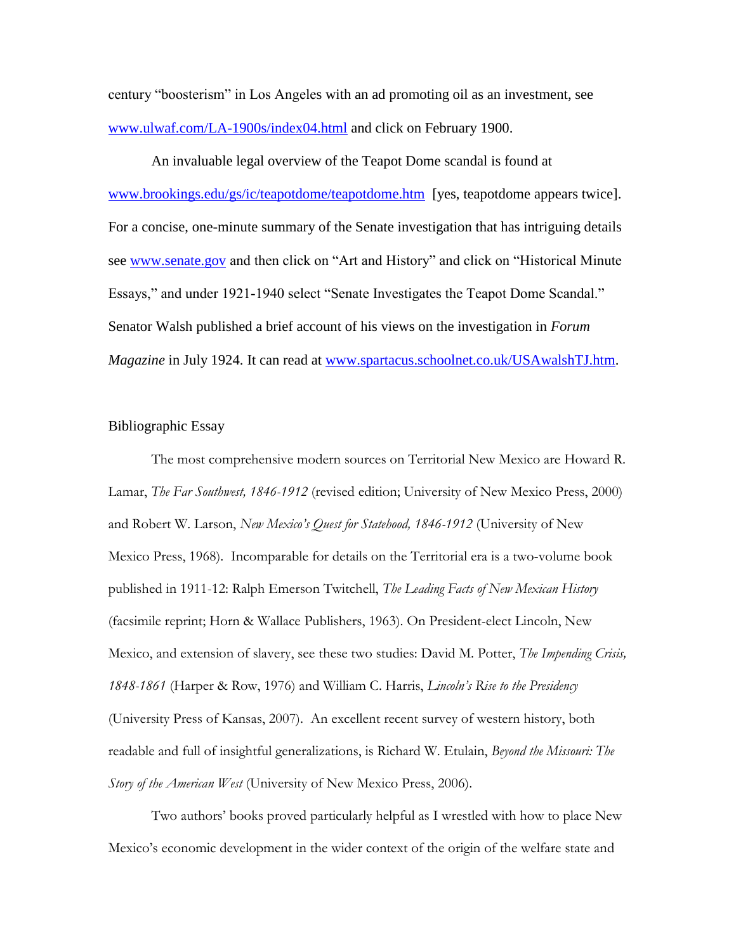century "boosterism" in Los Angeles with an ad promoting oil as an investment, see [www.ulwaf.com/LA-1900s/index04.html](http://www.ulwaf.com/LA-1900s/index04.html) and click on February 1900.

An invaluable legal overview of the Teapot Dome scandal is found at [www.brookings.edu/gs/ic/teapotdome/teapotdome.htm](http://www.brookings.edu/gs/ic/teapotdome/teapotdome.htm) [yes, teapotdome appears twice]. For a concise, one-minute summary of the Senate investigation that has intriguing details see [www.senate.gov](http://www.senate.gov/) and then click on "Art and History" and click on "Historical Minute Essays," and under 1921-1940 select "Senate Investigates the Teapot Dome Scandal." Senator Walsh published a brief account of his views on the investigation in *Forum Magazine* in July 1924. It can read at [www.spartacus.schoolnet.co.uk/USAwalshTJ.htm.](http://www.spartacus.schoolnet.co.uk/USAwalshTJ.htm)

#### Bibliographic Essay

The most comprehensive modern sources on Territorial New Mexico are Howard R. Lamar, *The Far Southwest, 1846-1912* (revised edition; University of New Mexico Press, 2000) and Robert W. Larson, *New Mexico's Quest for Statehood, 1846-1912* (University of New Mexico Press, 1968). Incomparable for details on the Territorial era is a two-volume book published in 1911-12: Ralph Emerson Twitchell, *The Leading Facts of New Mexican History*  (facsimile reprint; Horn & Wallace Publishers, 1963). On President-elect Lincoln, New Mexico, and extension of slavery, see these two studies: David M. Potter, *The Impending Crisis, 1848-1861* (Harper & Row, 1976) and William C. Harris, *Lincoln's Rise to the Presidency* (University Press of Kansas, 2007). An excellent recent survey of western history, both readable and full of insightful generalizations, is Richard W. Etulain, *Beyond the Missouri: The Story of the American West* (University of New Mexico Press, 2006).

Two authors' books proved particularly helpful as I wrestled with how to place New Mexico's economic development in the wider context of the origin of the welfare state and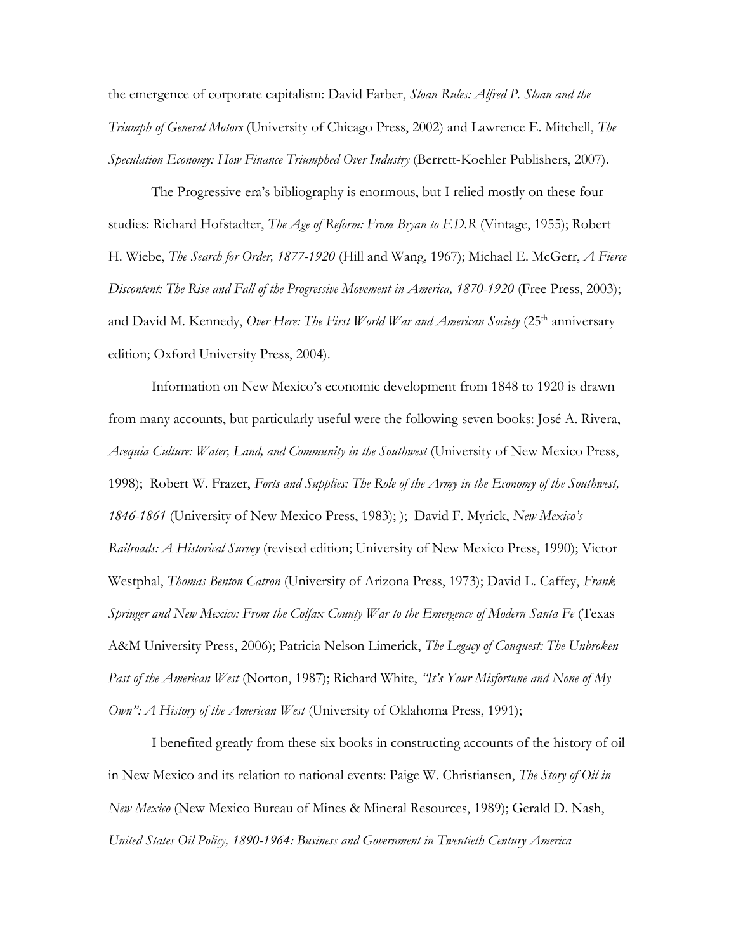the emergence of corporate capitalism: David Farber, *Sloan Rules: Alfred P. Sloan and the Triumph of General Motors* (University of Chicago Press, 2002) and Lawrence E. Mitchell, *The Speculation Economy: How Finance Triumphed Over Industry* (Berrett-Koehler Publishers, 2007).

The Progressive era's bibliography is enormous, but I relied mostly on these four studies: Richard Hofstadter, *The Age of Reform: From Bryan to F.D.R* (Vintage, 1955); Robert H. Wiebe, *The Search for Order, 1877-1920* (Hill and Wang, 1967); Michael E. McGerr, *A Fierce Discontent: The Rise and Fall of the Progressive Movement in America, 1870-1920* (Free Press, 2003); and David M. Kennedy, *Over Here: The First World War and American Society* (25<sup>th</sup> anniversary edition; Oxford University Press, 2004).

Information on New Mexico's economic development from 1848 to 1920 is drawn from many accounts, but particularly useful were the following seven books: José A. Rivera, *Acequia Culture: Water, Land, and Community in the Southwest* (University of New Mexico Press, 1998); Robert W. Frazer, *Forts and Supplies: The Role of the Army in the Economy of the Southwest, 1846-1861* (University of New Mexico Press, 1983); ); David F. Myrick, *New Mexico's Railroads: A Historical Survey* (revised edition; University of New Mexico Press, 1990); Victor Westphal, *Thomas Benton Catron* (University of Arizona Press, 1973); David L. Caffey, *Frank Springer and New Mexico: From the Colfax County War to the Emergence of Modern Santa Fe* (Texas A&M University Press, 2006); Patricia Nelson Limerick, *The Legacy of Conquest: The Unbroken Past of the American West* (Norton, 1987); Richard White, *"It's Your Misfortune and None of My Own": A History of the American West* (University of Oklahoma Press, 1991);

I benefited greatly from these six books in constructing accounts of the history of oil in New Mexico and its relation to national events: Paige W. Christiansen, *The Story of Oil in New Mexico* (New Mexico Bureau of Mines & Mineral Resources, 1989); Gerald D. Nash, *United States Oil Policy, 1890-1964: Business and Government in Twentieth Century America*